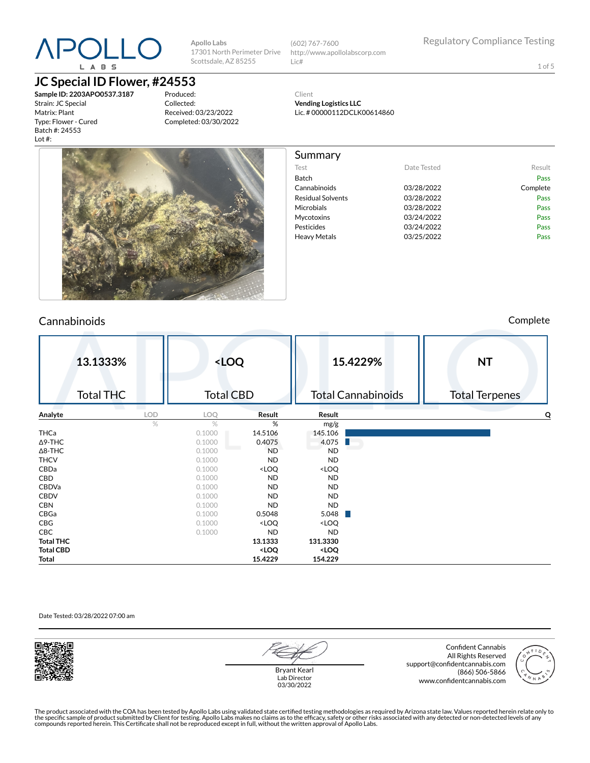# **APOLL(** L A B S

# **JC Special ID Flower, #24553**

**Sample ID: 2203APO0537.3187** Strain: JC Special Matrix: Plant Type: Flower - Cured Batch #: 24553 Lot #:

Produced: Collected: Received: 03/23/2022 Completed: 03/30/2022

**Apollo Labs**

Scottsdale, AZ 85255

17301 North Perimeter Drive (602) 767-7600 http://www.apollolabscorp.com Lic#

Test **Date Tested** Result Batch Pass Cannabinoids 03/28/2022 Complete Residual Solvents **03/28/2022** Pass Microbials **03/28/2022** Pass Mycotoxins 03/24/2022 Pass Pesticides **Pesticides Pass** Heavy Metals **D3/25/2022** Pass

1 of 5

Client **Vending Logistics LLC** Lic. # 00000112DCLK00614860

Summary



# Cannabinoids Complete

|                  | 13.1333%<br><b>Total THC</b> |            | <loq<br><b>Total CBD</b></loq<br> |                                                                   |                                       | 15.4229%<br><b>Total Cannabinoids</b> | <b>NT</b><br><b>Total Terpenes</b> |
|------------------|------------------------------|------------|-----------------------------------|-------------------------------------------------------------------|---------------------------------------|---------------------------------------|------------------------------------|
| Analyte          |                              | <b>LOD</b> | LOQ                               | Result                                                            | Result                                |                                       | O                                  |
|                  |                              | %          | $\%$                              | %                                                                 | mg/g                                  |                                       |                                    |
| THCa             |                              |            | 0.1000                            | 14.5106                                                           | 145.106                               |                                       |                                    |
| $\Delta$ 9-THC   |                              |            | 0.1000                            | 0.4075                                                            | 4.075                                 |                                       |                                    |
| $\Delta$ 8-THC   |                              |            | 0.1000                            | <b>ND</b>                                                         | <b>ND</b>                             |                                       |                                    |
| <b>THCV</b>      |                              |            | 0.1000                            | <b>ND</b>                                                         | <b>ND</b>                             |                                       |                                    |
| CBDa             |                              |            | 0.1000                            | <loq< th=""><th><loq< th=""><th></th><th></th></loq<></th></loq<> | <loq< th=""><th></th><th></th></loq<> |                                       |                                    |
| CBD              |                              |            | 0.1000                            | <b>ND</b>                                                         | <b>ND</b>                             |                                       |                                    |
| CBDVa            |                              |            | 0.1000                            | <b>ND</b>                                                         | <b>ND</b>                             |                                       |                                    |
| <b>CBDV</b>      |                              |            | 0.1000                            | <b>ND</b>                                                         | <b>ND</b>                             |                                       |                                    |
| <b>CBN</b>       |                              |            | 0.1000                            | <b>ND</b>                                                         | <b>ND</b>                             |                                       |                                    |
| CBGa             |                              |            | 0.1000                            | 0.5048                                                            | 5.048                                 | a ka                                  |                                    |
| CBG              |                              |            | 0.1000                            | <loq< th=""><th><loq< th=""><th></th><th></th></loq<></th></loq<> | <loq< th=""><th></th><th></th></loq<> |                                       |                                    |
| CBC              |                              |            | 0.1000                            | <b>ND</b>                                                         | <b>ND</b>                             |                                       |                                    |
| <b>Total THC</b> |                              |            |                                   | 13.1333                                                           | 131.3330                              |                                       |                                    |
| <b>Total CBD</b> |                              |            |                                   | <loq< th=""><th><loq< th=""><th></th><th></th></loq<></th></loq<> | <loq< th=""><th></th><th></th></loq<> |                                       |                                    |
| Total            |                              |            |                                   | 15.4229                                                           | 154.229                               |                                       |                                    |

#### Date Tested: 03/28/2022 07:00 am



Bryant Kearl Lab Director 03/30/2022

Confident Cannabis All Rights Reserved support@confidentcannabis.com (866) 506-5866 www.confidentcannabis.com

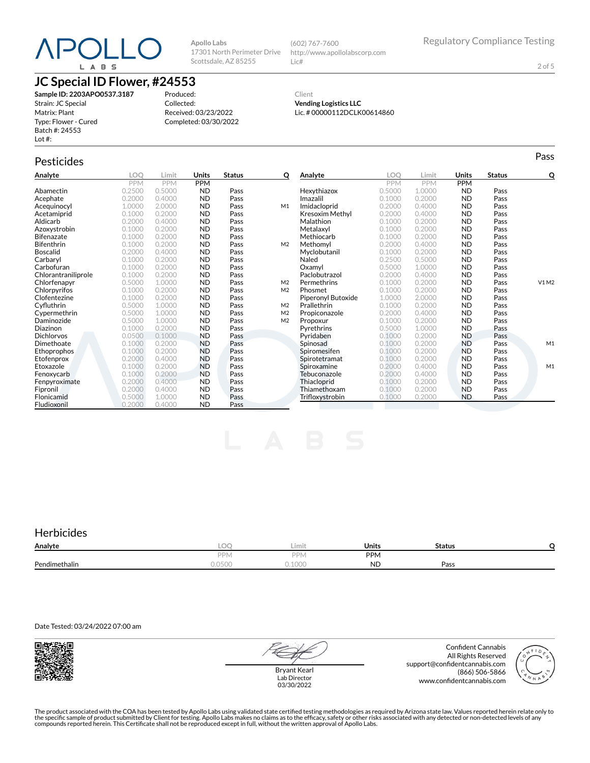# POLL L A B S

**JC Special ID Flower, #24553**

**Sample ID: 2203APO0537.3187** Strain: JC Special Matrix: Plant Type: Flower - Cured Batch #: 24553 Lot #:

Produced: Collected: Received: 03/23/2022 Completed: 03/30/2022

**Apollo Labs**

Scottsdale, AZ 85255

17301 North Perimeter Drive http://www.apollolabscorp.com Lic#

(602) 767-7600

2 of 5

#### Client **Vending Logistics LLC** Lic. # 00000112DCLK00614860

Pesticides **Passage of the Contract of Contract Contract of Contract Contract Contract Contract Contract Contract Contract Contract Contract Contract Contract Contract Contract Contract Contract Contract Contract Contract** 

**Analyte LOQ Limit Units Status Q** PPM PPM PPM<br>0.2500 0.5000 ND Abamectin 0.2500 0.5000 ND Pass **Acephate** 0.2000 0.4000 **ND Pass**<br> **Acequinocyl** 1.0000 2.0000 **ND Pass Acequinocyl** 1.0000 2.0000 **ND Pass M1**<br> **Acetamiprid** 0.1000 0.2000 **ND Pass Acetamiprid** 0.1000 0.2000 **ND Pass**<br> **Aldicarb** 0.2000 0.4000 **ND Pass Aldicarb** 0.2000 0.4000 **ND Pass**<br>**Azoxystrobin** 0.1000 0.2000 **ND Pass Azoxystrobin** 0.1000 0.2000 **ND Pass**<br>**Bifenazate** 0.1000 0.2000 **ND Pass** Bifenazate 0.1000 0.2000 ND Pass Bifenthrin 0.1000 0.2000 ND Pass M2 **Boscalid** 0.2000 0.4000 **ND Pass**<br> **Carbaryl** 0.1000 0.2000 **ND Pass** Carbaryl 0.1000 0.2000 ND Pass Carbofuran 0.1000 0.2000 ND Pass Chlorantraniliprole 0.1000 0.2000 ND<br>Chlorfenapyr 0.5000 1.0000 ND **Chlorfenapyr** 0.5000 1.0000 **ND Pass M2**<br> **Chlorpyrifos** 0.1000 0.2000 **ND Pass M2 Chlorpyrifos** 0.1000 0.2000 **ND**<br> **Clofentezine** 0.1000 0.2000 **ND Clofentezine** 0.1000 0.2000 **ND Pass**<br> **Cyfluthrin** 0.5000 1.0000 **ND Pass** Cyuthrin 0.5000 1.0000 ND Pass M2 Cypermethrin 0.5000 1.0000 ND Pass M2 **Daminozide** 0.5000 1.0000 **ND Pass<br>
Diazinon** 0.1000 0.2000 **ND Pass Diazinon** 0.1000 0.2000 **ND Pass**<br>**Dichlorvos** 0.0500 0.1000 **ND Pass Dichlorvos** 0.0500 0.1000 **ND Pass**<br>**Dimethoate** 0.1000 0.2000 **ND Pass Dimethoate** 0.1000 0.2000 **ND**<br> **Ethoprophos** 0.1000 0.2000 **ND** Ethoprophos 0.1000 0.2000 ND Pass<br>Etofenprox 0.2000 0.4000 ND Pass Etofenprox 0.2000 0.4000 ND Pass<br>Etoxazole 0.1000 0.2000 ND Pass Etoxazole 0.1000 0.2000 ND Pass **Fenoxycarb** 0.1000 0.2000 **ND Pass**<br> **Fenpyroximate** 0.2000 0.4000 **ND Pass** Fenpyroximate 0.2000 0.4000 ND Pass<br>Fipronil 0.2000 0.4000 ND Pass **Fipronil 12000 0.2000 0.4000 ND Pass<br>Flonicamid 1.0000 0.5000 0.5000 ND Pass Flonicamid** 0.5000 1.000<br> **Fludioxonil** 0.2000 0.400 Fludioxonil 0.2000 0.4000 ND Pass **Analyte LOQ Limit Units Status Q** PPM PPM PPM<br>0.5000 1.0000 ND **Hexythiazox** 0.5000 1.0000 **ND Pass**<br> **Imazalil** 0.1000 0.2000 **ND Pass** Imazalil 0.1000 0.2000 ND Pass **Imidacloprid** 0.2000 0.4000 **ND Pass**<br> **Kresoxim Methyl** 0.2000 0.4000 **ND Pass Kresoxim Methyl** 0.2000 0.4000 **ND Pass**<br> **Malathion** 0.1000 0.2000 **ND Pass** Malathion 0.1000 0.2000 ND Pass **Metalaxyl** 0.1000 0.2000 **ND Pass**<br> **Methiocarb** 0.1000 0.2000 **ND Pass Methiocarb** 0.1000 0.2000 **ND Pass**<br> **Methomyl** 0.2000 0.4000 **ND Pass Methomyl** 0.2000 0.4000 **ND Pass**<br> **Myclobutanil** 0.1000 0.2000 **ND Pass** Myclobutanil 0.1000 0.2000 ND Pass 0.2500 0.5000 **ND Pass**<br>0.5000 1.0000 **ND Pass** Oxamyl 0.5000 1.0000 ND Pass Paclobutrazol 0.2000 0.4000 ND Pass Permethrins 0.1000 0.2000 ND Pass V1 M2 **Phosmet** 0.1000 0.2000 **ND**<br> **Piperonyl Butoxide** 1.0000 2.0000 **ND** Piperonyl Butoxide 1.0000 2.0000 ND Pass<br>
Prallethrin 0.1000 0.2000 ND Pass Prallethrin 0.1000 0.2000 ND Pass **Propiconazole** 0.2000 0.4000 **ND Pass**<br> **Propoxur** 0.1000 0.2000 **ND Pass** Propoxur 0.1000 0.2000 ND Pass Pyrethrins 0.5000 1.0000 ND Pass **Pyridaben 1988** 0.1000 0.2000 **ND Pass**<br>**Spinosad** 10.1000 0.2000 **ND Pass** Spinosad 0.1000 0.2000 ND Pass M1 Spiromesifen 0.1000 0.2000 ND Pass<br>Spirotetramat 0.1000 0.2000 ND Pass Spirotetramat 0.1000 0.2000 ND Pass<br>Spiroxamine 0.2000 0.4000 ND Pass Spiroxamine 0.2000 0.4000 ND Pass M1<br>Tebuconazole 0.2000 0.4000 ND Pass Tebuconazole 0.2000 0.4000 ND Pass<br>Thiacloprid 0.1000 0.2000 ND Pass **Thiacloprid** 0.1000 0.2000 **ND Pass**<br> **Thiamethoxam** 0.1000 0.2000 **ND Pass** Thiamethoxam 0.1000 0.2000 ND Pass<br>Trifloxystrobin 0.1000 0.2000 ND Pass **Trifloxystrobin** 

## **Herbicides**

| Analyte       | $\sim$<br>-LUT | Limit  | Units     | Status |  |
|---------------|----------------|--------|-----------|--------|--|
|               | DDN            | PPN.   | PPM       |        |  |
| Pendimethalin | 0501<br>しいししい  | 0.1000 | <b>ND</b> | Pass   |  |

Date Tested: 03/24/2022 07:00 am



Bryant Kearl Lab Director 03/30/2022

Confident Cannabis All Rights Reserved support@confidentcannabis.com (866) 506-5866 www.confidentcannabis.com

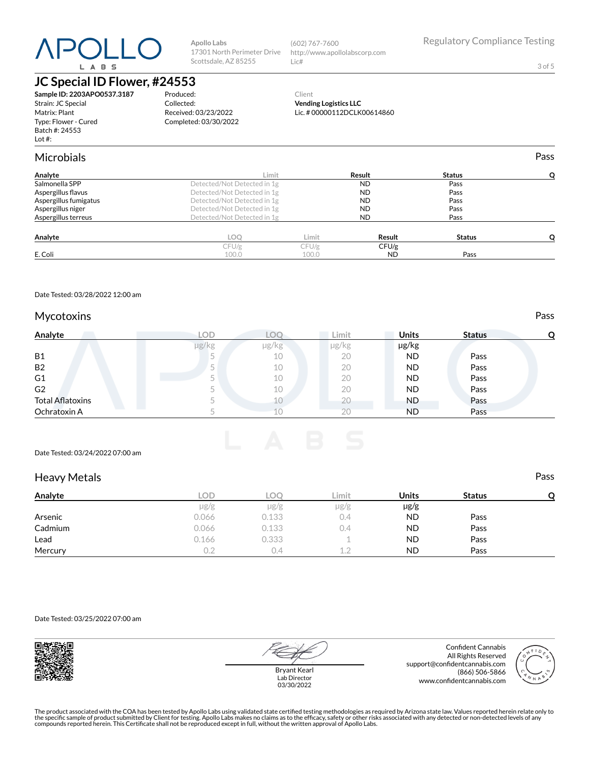# DL L ( L A B S

**Apollo Labs** 17301 North Perimeter Drive Scottsdale, AZ 85255

(602) 767-7600 http://www.apollolabscorp.com Lic#

3 of 5

# **JC Special ID Flower, #24553**

**Sample ID: 2203APO0537.3187** Strain: JC Special Matrix: Plant Type: Flower - Cured Batch #: 24553 Lot #:

Produced: Collected: Received: 03/23/2022 Completed: 03/30/2022

#### Client **Vending Logistics LLC** Lic. # 00000112DCLK00614860

| Microbials            |                             |       |           |               | Pass |
|-----------------------|-----------------------------|-------|-----------|---------------|------|
| Analyte               | Limit                       |       | Result    | <b>Status</b> |      |
| Salmonella SPP        | Detected/Not Detected in 1g |       | <b>ND</b> | Pass          |      |
| Aspergillus flavus    | Detected/Not Detected in 1g |       | <b>ND</b> | Pass          |      |
| Aspergillus fumigatus | Detected/Not Detected in 1g |       | <b>ND</b> | Pass          |      |
| Aspergillus niger     | Detected/Not Detected in 1g |       | <b>ND</b> | Pass          |      |
| Aspergillus terreus   | Detected/Not Detected in 1g |       | ND.       | Pass          |      |
| Analyte               | LOQ                         | Limit | Result    | <b>Status</b> |      |
|                       | CFU/g                       | CFU/g | CFU/g     |               |      |
| E. Coli               | 100.0                       | 100.0 | <b>ND</b> | Pass          |      |
|                       |                             |       |           |               |      |

Date Tested: 03/28/2022 12:00 am

### Mycotoxins **Pass**

| Analyte                 | LOD   |            | ∠imit      | <b>Units</b> | <b>Status</b> | О |
|-------------------------|-------|------------|------------|--------------|---------------|---|
|                         | µg/kg | $\mu$ g/kg | $\mu$ g/kg | µg/kg        |               |   |
| <b>B1</b>               | -     | 10         | 20         | <b>ND</b>    | Pass          |   |
| <b>B2</b>               |       | 10         | 20         | <b>ND</b>    | Pass          |   |
| G <sub>1</sub>          |       | 10         | 20         | <b>ND</b>    | Pass          |   |
| G <sub>2</sub>          |       | 10         | 20         | <b>ND</b>    | Pass          |   |
| <b>Total Aflatoxins</b> |       |            | 20         | <b>ND</b>    | Pass          |   |
| Ochratoxin A            |       | Tn         | 20         | <b>ND</b>    | Pass          |   |



### Heavy Metals **Pass**

| Analyte | LOD       | LOC       | Limit     | <b>Units</b> | <b>Status</b> | O |
|---------|-----------|-----------|-----------|--------------|---------------|---|
|         | $\mu$ g/g | $\mu$ g/g | $\mu$ g/g | $\mu$ g/g    |               |   |
| Arsenic | 0.066     | 0.133     | 0.4       | <b>ND</b>    | Pass          |   |
| Cadmium | 0.066     | 0.133     | 0.4       | <b>ND</b>    | Pass          |   |
| Lead    | 0.166     | 0.333     |           | <b>ND</b>    | Pass          |   |
| Mercury | 0.2       | U.4       | 12        | <b>ND</b>    | Pass          |   |

Date Tested: 03/25/2022 07:00 am





Bryant Kearl Lab Director 03/30/2022

Confident Cannabis All Rights Reserved support@confidentcannabis.com (866) 506-5866 www.confidentcannabis.com

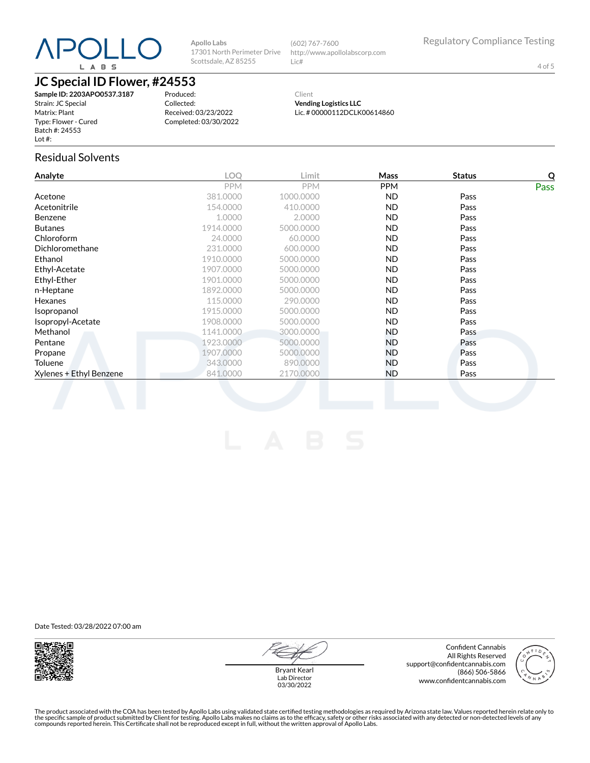

**Apollo Labs** 17301 North Perimeter Drive Scottsdale, AZ 85255

(602) 767-7600 http://www.apollolabscorp.com Lic#

4 of 5

# **JC Special ID Flower, #24553**

**Sample ID: 2203APO0537.3187** Strain: JC Special Matrix: Plant Type: Flower - Cured Batch #: 24553 Lot #:

Produced: Collected: Received: 03/23/2022 Completed: 03/30/2022

Client **Vending Logistics LLC** Lic. # 00000112DCLK00614860

### Residual Solvents

| Analyte                 | <b>LOO</b> | Limit      | Mass       | <b>Status</b> | Q           |
|-------------------------|------------|------------|------------|---------------|-------------|
|                         | <b>PPM</b> | <b>PPM</b> | <b>PPM</b> |               | <b>Pass</b> |
| Acetone                 | 381.0000   | 1000.0000  | ND.        | Pass          |             |
| Acetonitrile            | 154.0000   | 410.0000   | ND.        | Pass          |             |
| <b>Benzene</b>          | 1.0000     | 2.0000     | ND.        | Pass          |             |
| <b>Butanes</b>          | 1914.0000  | 5000.0000  | ND.        | Pass          |             |
| Chloroform              | 24.0000    | 60.0000    | ND.        | Pass          |             |
| Dichloromethane         | 231.0000   | 600.0000   | ND.        | Pass          |             |
| Ethanol                 | 1910.0000  | 5000.0000  | ND.        | Pass          |             |
| Ethyl-Acetate           | 1907.0000  | 5000.0000  | ND.        | Pass          |             |
| Ethyl-Ether             | 1901.0000  | 5000.0000  | ND.        | Pass          |             |
| n-Heptane               | 1892.0000  | 5000.0000  | <b>ND</b>  | Pass          |             |
| Hexanes                 | 115.0000   | 290,0000   | ND.        | Pass          |             |
| Isopropanol             | 1915.0000  | 5000.0000  | ND.        | Pass          |             |
| Isopropyl-Acetate       | 1908.0000  | 5000.0000  | ND.        | Pass          |             |
| Methanol                | 1141.0000  | 3000.0000  | ND.        | Pass          |             |
| Pentane                 | 1923.0000  | 5000.0000  | ND.        | Pass          |             |
| Propane                 | 1907.0000  | 5000.0000  | ND.        | Pass          |             |
| Toluene                 | 343,0000   | 890,0000   | ND.        | Pass          |             |
| Xylenes + Ethyl Benzene | 841.0000   | 2170.0000  | <b>ND</b>  | Pass          |             |
|                         |            |            |            |               |             |

Date Tested: 03/28/2022 07:00 am



Confident Cannabis All Rights Reserved support@confidentcannabis.com (866) 506-5866 www.confidentcannabis.com



Bryant Kearl Lab Director 03/30/2022